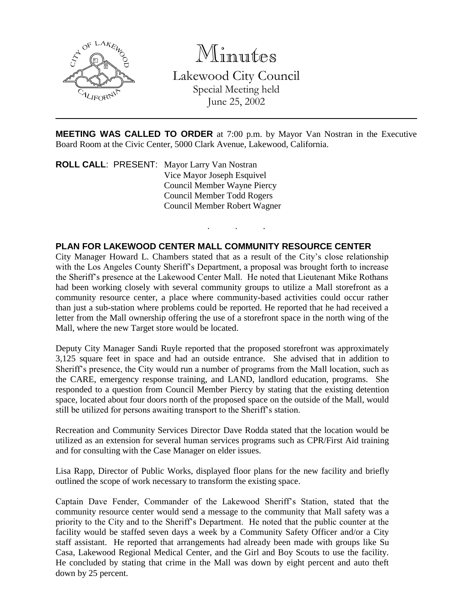

Minutes Lakewood City Council Special Meeting held

June 25, 2002

**MEETING WAS CALLED TO ORDER** at 7:00 p.m. by Mayor Van Nostran in the Executive Board Room at the Civic Center, 5000 Clark Avenue, Lakewood, California.

. . .

**ROLL CALL**: PRESENT: Mayor Larry Van Nostran Vice Mayor Joseph Esquivel Council Member Wayne Piercy Council Member Todd Rogers Council Member Robert Wagner

## **PLAN FOR LAKEWOOD CENTER MALL COMMUNITY RESOURCE CENTER**

City Manager Howard L. Chambers stated that as a result of the City's close relationship with the Los Angeles County Sheriff's Department, a proposal was brought forth to increase the Sheriff's presence at the Lakewood Center Mall. He noted that Lieutenant Mike Rothans had been working closely with several community groups to utilize a Mall storefront as a community resource center, a place where community-based activities could occur rather than just a sub-station where problems could be reported. He reported that he had received a letter from the Mall ownership offering the use of a storefront space in the north wing of the Mall, where the new Target store would be located.

Deputy City Manager Sandi Ruyle reported that the proposed storefront was approximately 3,125 square feet in space and had an outside entrance. She advised that in addition to Sheriff's presence, the City would run a number of programs from the Mall location, such as the CARE, emergency response training, and LAND, landlord education, programs. She responded to a question from Council Member Piercy by stating that the existing detention space, located about four doors north of the proposed space on the outside of the Mall, would still be utilized for persons awaiting transport to the Sheriff's station.

Recreation and Community Services Director Dave Rodda stated that the location would be utilized as an extension for several human services programs such as CPR/First Aid training and for consulting with the Case Manager on elder issues.

Lisa Rapp, Director of Public Works, displayed floor plans for the new facility and briefly outlined the scope of work necessary to transform the existing space.

Captain Dave Fender, Commander of the Lakewood Sheriff's Station, stated that the community resource center would send a message to the community that Mall safety was a priority to the City and to the Sheriff's Department. He noted that the public counter at the facility would be staffed seven days a week by a Community Safety Officer and/or a City staff assistant. He reported that arrangements had already been made with groups like Su Casa, Lakewood Regional Medical Center, and the Girl and Boy Scouts to use the facility. He concluded by stating that crime in the Mall was down by eight percent and auto theft down by 25 percent.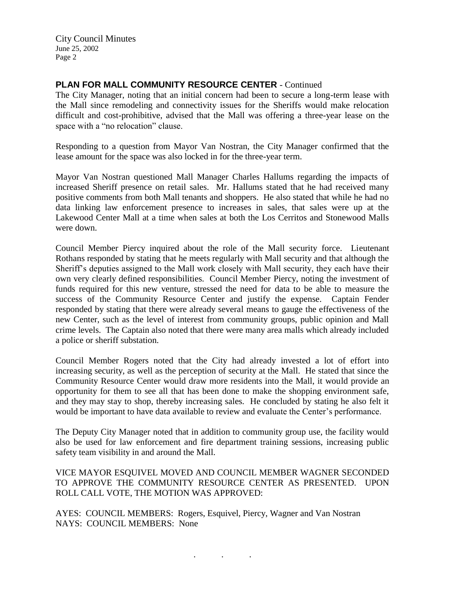City Council Minutes June 25, 2002 Page 2

## **PLAN FOR MALL COMMUNITY RESOURCE CENTER** - Continued

The City Manager, noting that an initial concern had been to secure a long-term lease with the Mall since remodeling and connectivity issues for the Sheriffs would make relocation difficult and cost-prohibitive, advised that the Mall was offering a three-year lease on the space with a "no relocation" clause.

Responding to a question from Mayor Van Nostran, the City Manager confirmed that the lease amount for the space was also locked in for the three-year term.

Mayor Van Nostran questioned Mall Manager Charles Hallums regarding the impacts of increased Sheriff presence on retail sales. Mr. Hallums stated that he had received many positive comments from both Mall tenants and shoppers. He also stated that while he had no data linking law enforcement presence to increases in sales, that sales were up at the Lakewood Center Mall at a time when sales at both the Los Cerritos and Stonewood Malls were down.

Council Member Piercy inquired about the role of the Mall security force. Lieutenant Rothans responded by stating that he meets regularly with Mall security and that although the Sheriff's deputies assigned to the Mall work closely with Mall security, they each have their own very clearly defined responsibilities. Council Member Piercy, noting the investment of funds required for this new venture, stressed the need for data to be able to measure the success of the Community Resource Center and justify the expense. Captain Fender responded by stating that there were already several means to gauge the effectiveness of the new Center, such as the level of interest from community groups, public opinion and Mall crime levels. The Captain also noted that there were many area malls which already included a police or sheriff substation.

Council Member Rogers noted that the City had already invested a lot of effort into increasing security, as well as the perception of security at the Mall. He stated that since the Community Resource Center would draw more residents into the Mall, it would provide an opportunity for them to see all that has been done to make the shopping environment safe, and they may stay to shop, thereby increasing sales. He concluded by stating he also felt it would be important to have data available to review and evaluate the Center's performance.

The Deputy City Manager noted that in addition to community group use, the facility would also be used for law enforcement and fire department training sessions, increasing public safety team visibility in and around the Mall.

VICE MAYOR ESQUIVEL MOVED AND COUNCIL MEMBER WAGNER SECONDED TO APPROVE THE COMMUNITY RESOURCE CENTER AS PRESENTED. UPON ROLL CALL VOTE, THE MOTION WAS APPROVED:

. . .

AYES: COUNCIL MEMBERS: Rogers, Esquivel, Piercy, Wagner and Van Nostran NAYS: COUNCIL MEMBERS: None